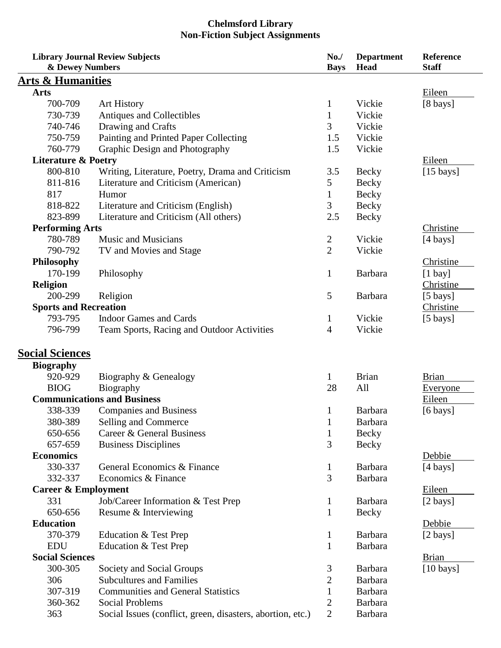## **Chelmsford Library Non-Fiction Subject Assignments**

| <b>Library Journal Review Subjects</b><br>& Dewey Numbers |                                                            | No.<br><b>Bays</b>      | <b>Department</b><br>Head | Reference<br><b>Staff</b> |
|-----------------------------------------------------------|------------------------------------------------------------|-------------------------|---------------------------|---------------------------|
| <u>Arts &amp; Humanities</u>                              |                                                            |                         |                           |                           |
| <b>Arts</b>                                               |                                                            |                         |                           | Eileen                    |
| 700-709                                                   | <b>Art History</b>                                         | $\mathbf{1}$            | Vickie                    | $[8 \text{ bays}]$        |
| 730-739                                                   | Antiques and Collectibles                                  | 1                       | Vickie                    |                           |
| 740-746                                                   | Drawing and Crafts                                         | 3                       | Vickie                    |                           |
| 750-759                                                   | Painting and Printed Paper Collecting                      | 1.5                     | Vickie                    |                           |
| 760-779                                                   | Graphic Design and Photography                             | 1.5                     | Vickie                    |                           |
| <b>Literature &amp; Poetry</b>                            |                                                            |                         |                           | Eileen                    |
| 800-810                                                   | Writing, Literature, Poetry, Drama and Criticism           | 3.5                     | Becky                     | $[15 \text{ bays}]$       |
| 811-816                                                   | Literature and Criticism (American)                        | 5                       | Becky                     |                           |
| 817                                                       | Humor                                                      | 1                       | Becky                     |                           |
| 818-822                                                   | Literature and Criticism (English)                         | 3                       | Becky                     |                           |
| 823-899                                                   | Literature and Criticism (All others)                      | 2.5                     | Becky                     |                           |
|                                                           |                                                            |                         |                           | Christine                 |
| <b>Performing Arts</b>                                    |                                                            |                         |                           |                           |
| 780-789                                                   | <b>Music and Musicians</b>                                 | $\overline{\mathbf{c}}$ | Vickie                    | $[4 \text{ bays}]$        |
| 790-792                                                   | TV and Movies and Stage                                    | $\overline{2}$          | Vickie                    |                           |
| <b>Philosophy</b>                                         |                                                            |                         |                           | Christine                 |
| 170-199                                                   | Philosophy                                                 | $\mathbf{1}$            | <b>Barbara</b>            | $[1$ bay]                 |
| <b>Religion</b>                                           |                                                            |                         |                           | Christine                 |
| 200-299                                                   | Religion                                                   | 5                       | <b>Barbara</b>            | $[5 \text{ bays}]$        |
| <b>Sports and Recreation</b>                              |                                                            |                         |                           | Christine                 |
| 793-795                                                   | <b>Indoor Games and Cards</b>                              | $\mathbf{1}$            | Vickie                    | $[5 \text{ bays}]$        |
| 796-799                                                   | Team Sports, Racing and Outdoor Activities                 | 4                       | Vickie                    |                           |
| <b>Social Sciences</b>                                    |                                                            |                         |                           |                           |
| <b>Biography</b>                                          |                                                            |                         |                           |                           |
| 920-929                                                   | Biography & Genealogy                                      | $\mathbf{1}$            | <b>Brian</b>              | <b>Brian</b>              |
| <b>BIOG</b>                                               | Biography                                                  | 28                      | All                       | <b>Everyone</b>           |
| <b>Communications and Business</b>                        |                                                            |                         |                           | Eileen                    |
| 338-339                                                   | <b>Companies and Business</b>                              | $\mathbf{1}$            | <b>Barbara</b>            | $[6 \text{ bays}]$        |
| 380-389                                                   | Selling and Commerce                                       | $\mathbf{1}$            | <b>Barbara</b>            |                           |
| 650-656                                                   | Career & General Business                                  | $\mathbf{1}$            | <b>Becky</b>              |                           |
| 657-659                                                   | <b>Business Disciplines</b>                                | 3                       | Becky                     |                           |
| <b>Economics</b>                                          |                                                            |                         |                           | Debbie                    |
| 330-337                                                   | General Economics & Finance                                | $\mathbf{1}$            | Barbara                   | $[4 \text{ bays}]$        |
| 332-337                                                   | Economics & Finance                                        | 3                       | Barbara                   |                           |
| <b>Career &amp; Employment</b>                            |                                                            |                         |                           | Eileen                    |
| 331                                                       | Job/Career Information & Test Prep                         | $\mathbf{1}$            | Barbara                   | $[2 \text{ bays}]$        |
| 650-656                                                   | Resume & Interviewing                                      | $\mathbf{1}$            | Becky                     |                           |
| <b>Education</b>                                          |                                                            |                         |                           | Debbie                    |
| 370-379                                                   |                                                            |                         | Barbara                   |                           |
| <b>EDU</b>                                                | Education & Test Prep                                      | $\mathbf{1}$            | Barbara                   | $[2 \text{ bays}]$        |
|                                                           | Education & Test Prep                                      | $\mathbf{1}$            |                           |                           |
| <b>Social Sciences</b>                                    |                                                            |                         |                           | <b>Brian</b>              |
| 300-305                                                   | Society and Social Groups                                  | 3                       | Barbara                   | $[10 \text{ bays}]$       |
| 306                                                       | <b>Subcultures and Families</b>                            | 2                       | Barbara                   |                           |
| 307-319                                                   | <b>Communities and General Statistics</b>                  | 1                       | <b>Barbara</b>            |                           |
| 360-362                                                   | <b>Social Problems</b>                                     | 2                       | Barbara                   |                           |
| 363                                                       | Social Issues (conflict, green, disasters, abortion, etc.) | $\overline{2}$          | <b>Barbara</b>            |                           |